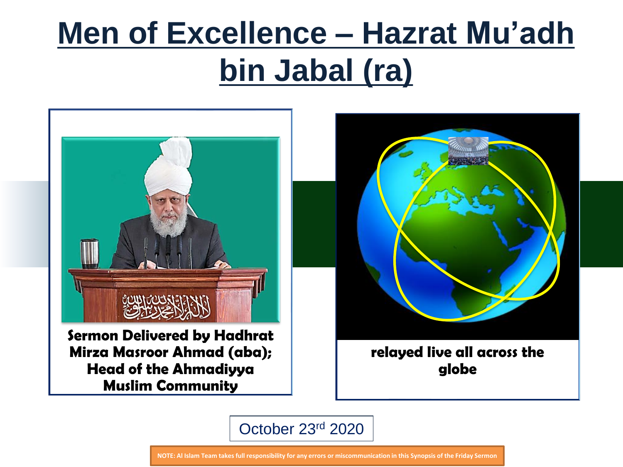# **Men of Excellence – Hazrat Mu'adh bin Jabal (ra)**



**Sermon Delivered by Hadhrat Mirza Masroor Ahmad (aba); Head of the Ahmadiyya Muslim Community** 



**relayed live all across the globe**

October 23rd 2020

**NOTE: Al Islam Team takes full responsibility for any errors or miscommunication in this Synopsis of the Friday Sermon**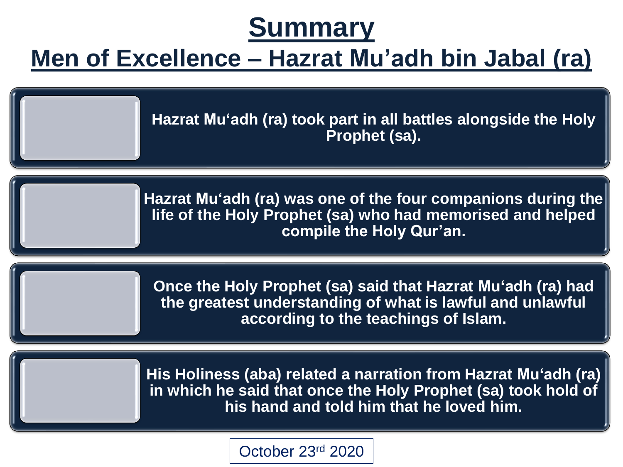# **Summary**

#### **Men of Excellence – Hazrat Mu'adh bin Jabal (ra)**

**Hazrat Mu'adh (ra) took part in all battles alongside the Holy Prophet (sa).**

**Hazrat Mu'adh (ra) was one of the four companions during the life of the Holy Prophet (sa) who had memorised and helped compile the Holy Qur'an.**

**Once the Holy Prophet (sa) said that Hazrat Mu'adh (ra) had the greatest understanding of what is lawful and unlawful according to the teachings of Islam.**

**His Holiness (aba) related a narration from Hazrat Mu'adh (ra) in which he said that once the Holy Prophet (sa) took hold of his hand and told him that he loved him.**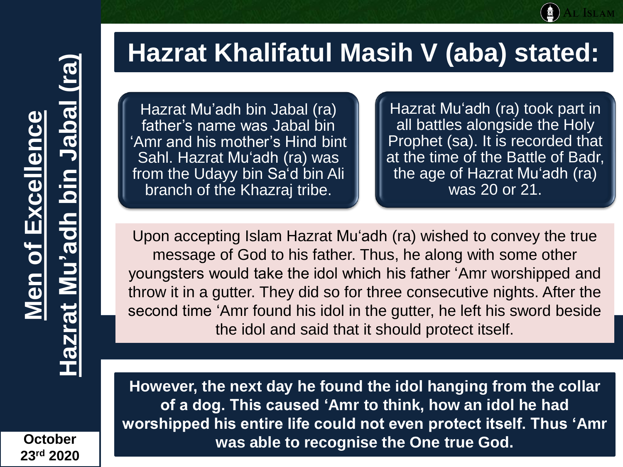**October 23rd 2020**

#### **Hazrat Khalifatul Masih V (aba) stated:**

Hazrat Mu'adh bin Jabal (ra) father's name was Jabal bin 'Amr and his mother's Hind bint Sahl. Hazrat Mu'adh (ra) was from the Udayy bin Sa'd bin Ali branch of the Khazraj tribe.

Hazrat Mu'adh (ra) took part in all battles alongside the Holy Prophet (sa). It is recorded that at the time of the Battle of Badr, the age of Hazrat Mu'adh (ra) was 20 or 21.

Upon accepting Islam Hazrat Mu'adh (ra) wished to convey the true message of God to his father. Thus, he along with some other youngsters would take the idol which his father 'Amr worshipped and throw it in a gutter. They did so for three consecutive nights. After the second time 'Amr found his idol in the gutter, he left his sword beside the idol and said that it should protect itself.

**However, the next day he found the idol hanging from the collar of a dog. This caused 'Amr to think, how an idol he had worshipped his entire life could not even protect itself. Thus 'Amr was able to recognise the One true God.**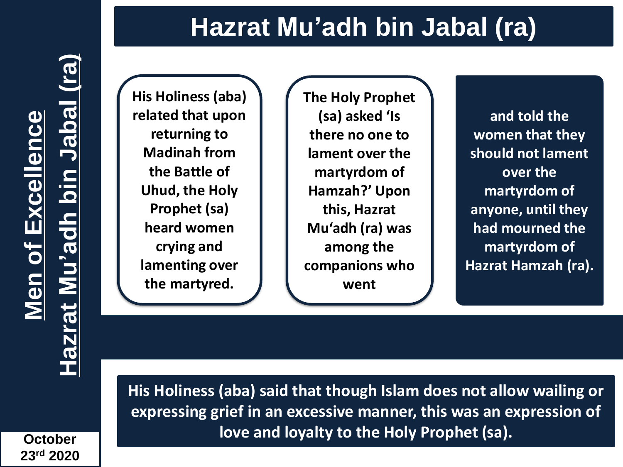## **Hazrat Mu'adh bin Jabal (ra)**

**October 23rd 2020**

**)**

**His Holiness (aba) related that upon returning to Madinah from the Battle of Uhud, the Holy Prophet (sa) heard women crying and lamenting over the martyred.** 

**The Holy Prophet (sa) asked 'Is there no one to lament over the martyrdom of Hamzah?' Upon this, Hazrat Mu'adh (ra) was among the companions who went**

**and told the women that they should not lament over the martyrdom of anyone, until they had mourned the martyrdom of Hazrat Hamzah (ra).** 

**His Holiness (aba) said that though Islam does not allow wailing or expressing grief in an excessive manner, this was an expression of love and loyalty to the Holy Prophet (sa).**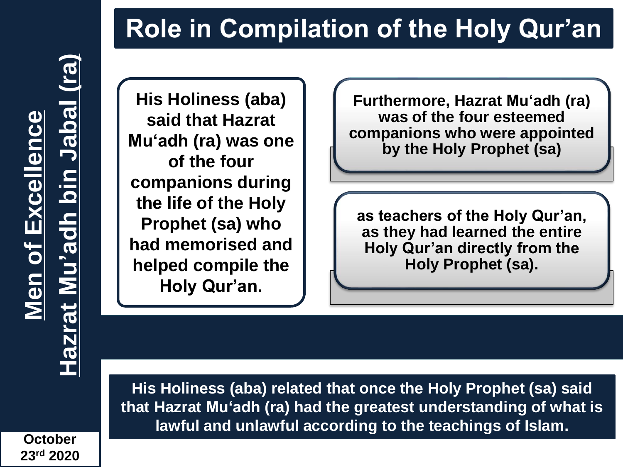# **Role in Compilation of the Holy Qur'an**

**(ra Hazrat Mu'adh bin Jabal Men of Excellence**  Excellence Mu'adh bin . Men of **Hazrat** 

**)**

**His Holiness (aba) said that Hazrat Mu'adh (ra) was one of the four companions during the life of the Holy Prophet (sa) who had memorised and helped compile the Holy Qur'an.** 

**Furthermore, Hazrat Mu'adh (ra) was of the four esteemed companions who were appointed by the Holy Prophet (sa)**

**as teachers of the Holy Qur'an, as they had learned the entire Holy Qur'an directly from the Holy Prophet (sa).**

**His Holiness (aba) related that once the Holy Prophet (sa) said that Hazrat Mu'adh (ra) had the greatest understanding of what is lawful and unlawful according to the teachings of Islam.**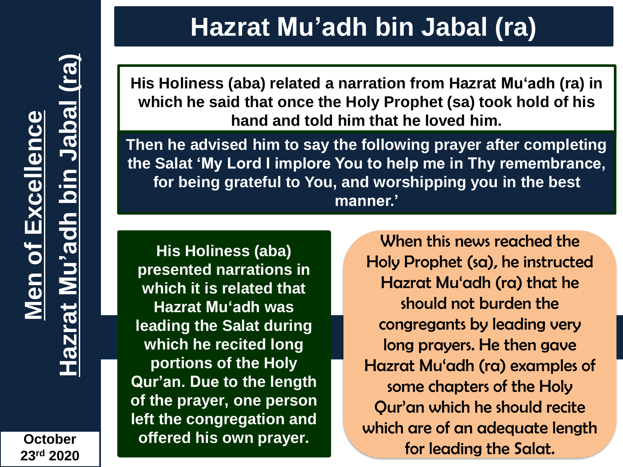**)**

**Hazrat Mu'adh bin Jabal (ra)**

**His Holiness (aba) related a narration from Hazrat Mu'adh (ra) in which he said that once the Holy Prophet (sa) took hold of his hand and told him that he loved him.** 

**Then he advised him to say the following prayer after completing the Salat 'My Lord I implore You to help me in Thy remembrance, for being grateful to You, and worshipping you in the best manner.'**

**His Holiness (aba) presented narrations in which it is related that Hazrat Mu'adh was leading the Salat during which he recited long portions of the Holy Qur'an. Due to the length of the prayer, one person left the congregation and offered his own prayer.** 

When this news reached the Holy Prophet (sa), he instructed Hazrat Mu'adh (ra) that he should not burden the congregants by leading very long prayers. He then gave Hazrat Mu'adh (ra) examples of some chapters of the Holy Qur'an which he should recite which are of an adequate length for leading the Salat.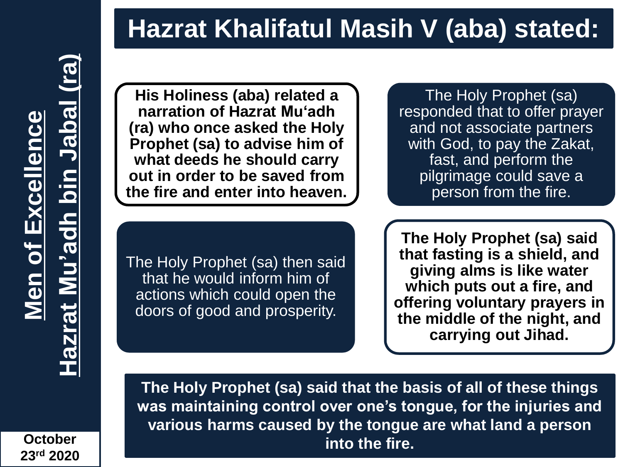**)**

## **Hazrat Khalifatul Masih V (aba) stated:**

**His Holiness (aba) related a narration of Hazrat Mu'adh (ra) who once asked the Holy Prophet (sa) to advise him of what deeds he should carry out in order to be saved from the fire and enter into heaven.**

The Holy Prophet (sa) responded that to offer prayer and not associate partners with God, to pay the Zakat, fast, and perform the pilgrimage could save a person from the fire.

The Holy Prophet (sa) then said that he would inform him of actions which could open the doors of good and prosperity.

**The Holy Prophet (sa) said that fasting is a shield, and giving alms is like water which puts out a fire, and offering voluntary prayers in the middle of the night, and carrying out Jihad.**

**The Holy Prophet (sa) said that the basis of all of these things was maintaining control over one's tongue, for the injuries and various harms caused by the tongue are what land a person into the fire.**